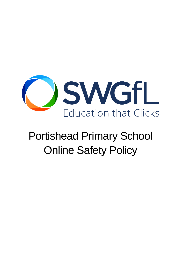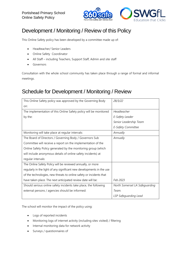

## Development / Monitoring / Review of this Policy

This Online Safety policy has been developed by a committee made up of:

- Headteacher/ Senior Leaders
- Online Safety Coordinator
- All Staff including Teachers, Support Staff, Admin and site staff
- **Governors**

Consultation with the whole school community has taken place through a range of formal and informal meetings.

### Schedule for Development / Monitoring / Review

| This Online Safety policy was approved by the Governing Body          | 28/3/22                        |
|-----------------------------------------------------------------------|--------------------------------|
| on:                                                                   |                                |
| The implementation of this Online Safety policy will be monitored     | Headteacher                    |
| by the:                                                               | E-Safety Leader                |
|                                                                       | Senior Leadership Team         |
|                                                                       | E-Safety Committee             |
| Monitoring will take place at regular intervals:                      | Annually                       |
| The Board of Directors / Governing Body / Governors Sub               | Annually                       |
| Committee will receive a report on the implementation of the          |                                |
| Online Safety Policy generated by the monitoring group (which         |                                |
| will include anonymous details of online safety incidents) at         |                                |
| regular intervals:                                                    |                                |
| The Online Safety Policy will be reviewed annually, or more           |                                |
| regularly in the light of any significant new developments in the use |                                |
| of the technologies, new threats to online safety or incidents that   |                                |
| have taken place. The next anticipated review date will be:           | Feb 2023                       |
| Should serious online safety incidents take place, the following      | North Somerset LA Safeguarding |
| external persons / agencies should be informed:                       | Team.                          |
|                                                                       | LSP Safeguarding Lead          |

The school will monitor the impact of the policy using:

- Logs of reported incidents
- Monitoring logs of internet activity (including sites visited) / filtering
- Internal monitoring data for network activity
- Surveys / questionnaires of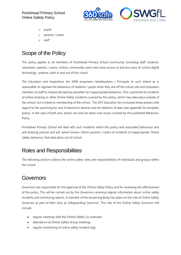

- o pupils
- o parents / carers
- o staff

# Scope of the Policy

This policy applies to all members of Portishead Primary School community (including staff, students, volunteers, parents / carers, visitors, community users) who have access to and are users of school digital technology systems, both in and out of the *school*.

The Education and Inspections Act 2006 empowers Headteachers / Principals to such extent as is reasonable, to regulate the behaviour of students / pupils when they are off the school site and empowers members of staff to impose disciplinary penalties for inappropriate behaviour. This is pertinent to incidents of online-bullying or other Online Safety incidents covered by this policy, which may take place outside of the school, but is linked to membership of the school. The 2011 Education Act increased these powers with regard to the searching for and of electronic devices and the deletion of data (see appendix for template policy). In the case of both acts, action can only be taken over issues covered by the published Behaviour Policy.

Portishead Primary School will deal with such incidents within this policy and associated behaviour and anti-bullying policies and will, where known, inform parents / carers of incidents of inappropriate Online Safety behaviour that take place out of school.

### Roles and Responsibilities

The following section outlines the online safety roles and responsibilities of individuals and groups within the school:

### Governors

Governors are responsible for the approval of the Online Safety Policy and for reviewing the effectiveness of the policy. This will be carried out by the Governors receiving regular information about online safety incidents and monitoring reports. A member of the Governing Body has taken on the role of Online Safety Governor as part of their duty as Safeguarding Governor. The role of the Online Safety Governor will include:

- regular meetings with the Online Safety Co-ordinator
- attendance at Online Safety Group meetings
- regular monitoring of online safety incident logs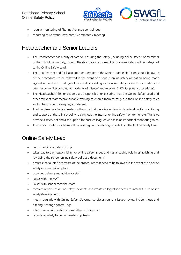

- regular monitoring of filtering / change control logs
- reporting to relevant Governors / Committee / meeting

### Headteacher and Senior Leaders

- The *Headteacher* has a duty of care for ensuring the safety (including online safety) of members of the school community, though the day to day responsibility for online safety will be delegated to the Online Safety Lead.
- The Headteacher and (at least) another member of the Senior Leadership Team should be aware of the procedures to be followed in the event of a serious online safety allegation being made against a member of staff (see flow chart on dealing with online safety incidents – included in a later section – "Responding to incidents of misuse" and relevant *MAT* disciplinary procedures).
- The Headteacher/ Senior Leaders are responsible for ensuring that the Online Safety Lead and other relevant staff receive suitable training to enable them to carry out their online safety roles and to train other colleagues, as relevant.
- The Headteacher/ Senior Leaders will ensure that there is a system in place to allow for monitoring and support of those in school who carry out the internal online safety monitoring role. This is to provide a safety net and also support to those colleagues who take on important monitoring roles.
- The Senior Leadership Team will receive regular monitoring reports from the Online Safety Lead.

### Online Safety Lead

- leads the Online Safety Group
- takes day to day responsibility for online safety issues and has a leading role in establishing and reviewing the school online safety policies / documents
- ensures that all staff are aware of the procedures that need to be followed in the event of an online safety incident taking place.
- provides training and advice for staff
- liaises with the MAT
- liaises with school technical staff
- receives reports of online safety incidents and creates a log of incidents to inform future online safety developments
- meets regularly with Online Safety *Governor* to discuss current issues, review incident logs and filtering / change control logs
- attends relevant meeting / committee of *Governors*
- reports regularly to Senior Leadership Team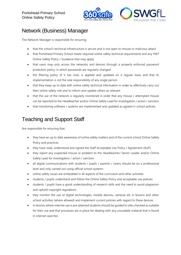

## Network (Business) Manager

The Network Manager is responsible for ensuring:

- that the *school's* technical infrastructure is secure and is not open to misuse or malicious attack
- that Portishead Primary School meets required online safety technical requirements and any *MAT*  Online Safety Policy / Guidance that may apply.
- that users may only access the networks and devices through a properly enforced password protection policy, in which passwords are regularly changed
- the filtering policy (if it has one), is applied and updated on a regular basis and that its implementation is not the sole responsibility of any single person
- that they keep up to date with online safety technical information in order to effectively carry out their online safety role and to inform and update others as relevant
- that the use of the network is regularly monitored in order that any misuse / attempted misuse can be reported to the Headteacher and/or Online Safety Lead for investigation / action / sanction
- that monitoring software / systems are implemented and updated as agreed in school policies

### Teaching and Support Staff

Are responsible for ensuring that:

- they have an up to date awareness of online safety matters and of the current school Online Safety Policy and practices
- they have read, understood and signed the Staff Acceptable Use Policy / Agreement (AUP)
- they report any suspected misuse or problem to the Headteacher/ Senior Leader and/or Online Safety Lead for investigation / action / sanction
- all digital communications with students / pupils / parents / carers should be on a professional level and only carried out using official school systems
- online safety issues are embedded in all aspects of the curriculum and other activities
- students / pupils understand and follow the Online Safety Policy and acceptable use policies
- students / pupils have a good understanding of research skills and the need to avoid plagiarism and uphold copyright regulations
- they monitor the use of digital technologies, mobile devices, cameras etc in lessons and other school activities (where allowed) and implement current policies with regard to these devices
- in lessons where internet use is pre-planned students should be guided to sites checked as suitable for their use and that processes are in place for dealing with any unsuitable material that is found in internet searches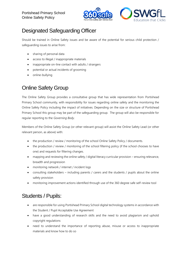

## Designated Safeguarding Officer

Should be trained in Online Safety issues and be aware of the potential for serious child protection / safeguarding issues to arise from:

- sharing of personal data
- access to illegal / inappropriate materials
- inappropriate on-line contact with adults / strangers
- potential or actual incidents of grooming
- online-bullying

### Online Safety Group

The Online Safety Group provides a consultative group that has wide representation from Portishead Primary School community, with responsibility for issues regarding online safety and the monitoring the Online Safety Policy including the impact of initiatives. Depending on the size or structure of Portishead Primary School this group may be part of the safeguarding group. The group will also be responsible for regular reporting to the *Governing Body*.

Members of the Online Safety Group (or other relevant group) will assist the Online Safety Lead (or other relevant person, as above) with:

- the production / review / monitoring of the school Online Safety Policy / documents.
- the production / review / monitoring of the school filtering policy (if the school chooses to have one) and requests for filtering changes.
- mapping and reviewing the online safety / digital literacy curricular provision ensuring relevance, breadth and progression
- monitoring network / internet / incident logs
- consulting stakeholders including parents / carers and the students / pupils about the online safety provision
- monitoring improvement actions identified through use of the 360 degree safe self-review tool

### Students / Pupils:

- are responsible for using Portishead Primary School digital technology systems in accordance with the Student / Pupil Acceptable Use Agreement
- have a good understanding of research skills and the need to avoid plagiarism and uphold copyright regulations
- need to understand the importance of reporting abuse, misuse or access to inappropriate materials and know how to do so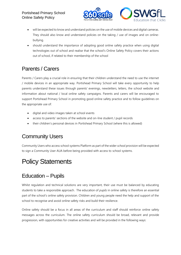

- will be expected to know and understand policies on the use of mobile devices and digital cameras. They should also know and understand policies on the taking / use of images and on onlinebullying.
- should understand the importance of adopting good online safety practice when using digital technologies out of school and realise that the school's Online Safety Policy covers their actions out of school, if related to their membership of the school

### Parents / Carers

Parents / Carers play a crucial role in ensuring that their children understand the need to use the internet / mobile devices in an appropriate way. Portishead Primary School will take every opportunity to help parents understand these issues through parents' evenings, newsletters, letters, the school website and information about national / local online safety campaigns. Parents and carers will be encouraged to support Portishead Primary School in promoting good online safety practice and to follow guidelines on the appropriate use of:

- digital and video images taken at school events
- access to parents' sections of the website and on-line student / pupil records
- their children's personal devices in Portishead Primary School (where this is allowed)

### Community Users

Community Users who access school systems Platform as part of the wider *school* provision will be expected to sign a Community User AUA before being provided with access to school systems.

# Policy Statements

### Education – Pupils

Whilst regulation and technical solutions are very important, their use must be balanced by educating students to take a responsible approach. The education of *pupils* in online safety is therefore an essential part of the school's online safety provision. Children and young people need the help and support of the school to recognise and avoid online safety risks and build their resilience.

Online safety should be a focus in all areas of the curriculum and staff should reinforce online safety messages across the curriculum. The online safety curriculum should be broad, relevant and provide progression, with opportunities for creative activities and will be provided in the following ways: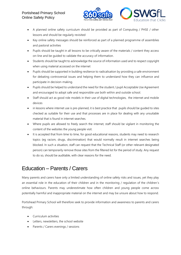

- A planned online safety curriculum should be provided as part of Computing / PHSE / other lessons and should be regularly revisited
- Key online safety messages should be reinforced as part of a planned programme of assemblies and pastoral activities
- Pupils should be taught in all lessons to be critically aware of the materials / content they access on-line and be guided to validate the accuracy of information.
- Students should be taught to acknowledge the source of information used and to respect copyright when using material accessed on the internet
- Pupils should be supported in building resilience to radicalisation by providing a safe environment for debating controversial issues and helping them to understand how they can influence and participate in decision-making.
- Pupils should be helped to understand the need for the student / pupil Acceptable Use Agreement and encouraged to adopt safe and responsible use both within and outside school.
- Staff should act as good role models in their use of digital technologies, the internet and mobile devices
- in lessons where internet use is pre-planned, it is best practice that pupils should be quided to sites checked as suitable for their use and that processes are in place for dealing with any unsuitable material that is found in internet searches.
- Where pupils are allowed to freely search the internet, staff should be vigilant in monitoring the content of the websites the young people visit.
- It is accepted that from time to time, for good educational reasons, students may need to research topics (eg racism, drugs, discrimination) that would normally result in internet searches being blocked. In such a situation, staff can request that the Technical Staff (or other relevant designated person) can temporarily remove those sites from the filtered list for the period of study. Any request to do so, should be auditable, with clear reasons for the need.

### Education – Parents / Carers

Many parents and carers have only a limited understanding of online safety risks and issues, yet they play an essential role in the education of their children and in the monitoring / regulation of the children's online behaviours. Parents may underestimate how often children and young people come across potentially harmful and inappropriate material on the internet and may be unsure about how to respond.

Portishead Primary School will therefore seek to provide information and awareness to parents and carers through:

- Curriculum activities
- Letters, newsletters, the school website
- Parents / Carers evenings / sessions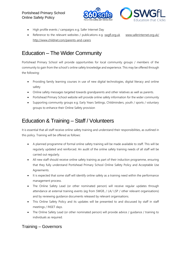

- High profile events / campaigns e.g. Safer Internet Day
- Reference to the relevant websites / publications e.g. [swgfl.org.uk](http://swgfl.org.uk/) www.saferinternet.org.uk/ <http://www.childnet.com/parents-and-carers>

### Education – The Wider Community

Portishead Primary School will provide opportunities for local community groups / members of the community to gain from the school's online safety knowledge and experience. This may be offered through the following:

- Providing family learning courses in use of new digital technologies, digital literacy and online safety
- Online safety messages targeted towards grandparents and other relatives as well as parents.
- Portishead Primary School website will provide online safety information for the wider community
- Supporting community groups e.g. Early Years Settings, Childminders, youth / sports / voluntary groups to enhance their Online Safety provision

### Education & Training – Staff / Volunteers

It is essential that all staff receive online safety training and understand their responsibilities, as outlined in this policy. Training will be offered as follows:

- A planned programme of formal online safety training will be made available to staff. This will be regularly updated and reinforced. An audit of the online safety training needs of all staff will be carried out regularly.
- All new staff should receive online safety training as part of their induction programme, ensuring that they fully understand Portishead Primary School Online Safety Policy and Acceptable Use Agreements.
- It is expected that some staff will identify online safety as a training need within the performance management process.
- The Online Safety Lead (or other nominated person) will receive regular updates through attendance at external training events (eg from SWGfL / LA/ LSP / other relevant organisations) and by reviewing guidance documents released by relevant organisations.
- This Online Safety Policy and its updates will be presented to and discussed by staff in staff meetings / INSET days.
- The Online Safety Lead (or other nominated person) will provide advice / quidance / training to individuals as required.

### Training – Governors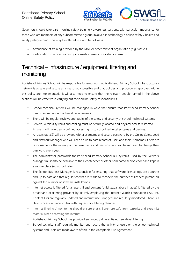

Governors should take part in online safety training / awareness sessions, with particular importance for those who are members of any subcommittee / group involved in technology / online safety / health and safety /safeguarding. This may be offered in a number of ways:

- Attendance at training provided by the MAT or other relevant organisation (e.g. SWGfL).
- Participation in school training / information sessions for staff or parents

### Technical – infrastructure / equipment, filtering and monitoring

Portishead Primary School will be responsible for ensuring that Portishead Primary School infrastructure / network is as safe and secure as is reasonably possible and that policies and procedures approved within this policy are implemented. It will also need to ensure that the relevant people named in the above sections will be effective in carrying out their online safety responsibilities:

- *•* School technical systems will be managed in ways that ensure that Portishead Primary School meets recommended technical requirements
- *•* There will be regular reviews and audits of the safety and security of school technical systems
- *•* Servers, wireless systems and cabling must be securely located and physical access restricted
- *•* All users will have clearly defined access rights to school technical systems and devices.
- *•* All users (at KS2) will be provided with a username and secure password by the Online Safety Lead and Network Manager who will keep an up to date record of users and their usernames. Users are responsible for the security of their username and password and will be required to change their password every year.
- *•* The administrator passwords for Portishead Primary School ICT systems, used by the Network Manager must also be available to the Headteacher or other nominated senior leader and kept in a secure place (eg school safe)
- *•* The School Business Manager is responsible for ensuring that software licence logs are accurate and up to date and that regular checks are made to reconcile the number of licences purchased against the number of software installations
- *•* Internet access is filtered for all users. Illegal content (child sexual abuse images) is filtered by the broadband or filtering provider by actively employing the Internet Watch Foundation CAIC list. Content lists are regularly updated and internet use is logged and regularly monitored. There is a clear process in place to deal with requests for filtering changes
- *•* Internet filtering / monitoring should ensure that children are safe from terrorist and extremist material when accessing the internet.
- *•* Portishead Primary School has provided enhanced / differentiated user-level filtering
- School technical staff regularly monitor and record the activity of users on the school technical systems and users are made aware of this in the Acceptable Use Agreement.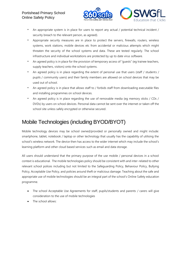

- *•* An appropriate system is in place for users to report any actual / potential technical incident / security breach to the relevant person, as agreed).
- *•* Appropriate security measures are in place to protect the servers, firewalls, routers, wireless systems, work stations, mobile devices etc from accidental or malicious attempts which might threaten the security of the school systems and data. These are tested regularly. The school infrastructure and individual workstations are protected by up to date virus software.
- *•* An agreed policy is in place for the provision of temporary access of "guests" (eg trainee teachers, supply teachers, visitors) onto the school systems.
- *•* An agreed policy is in place regarding the extent of personal use that users (staff / students / pupils / community users) and their family members are allowed on school devices that may be used out of school.
- *•* An agreed policy is in place that allows staff to / forbids staff from downloading executable files and installing programmes on school devices.
- *•* An agreed policy is in place regarding the use of removable media (eg memory sticks / CDs / DVDs) by users on school devices. Personal data cannot be sent over the internet or taken off the school site unless safely encrypted or otherwise secured.

### Mobile Technologies (including BYOD/BYOT)

Mobile technology devices may be school owned/provided or personally owned and might include: smartphone, tablet, notebook / laptop or other technology that usually has the capability of utilising the school's wireless network. The device then has access to the wider internet which may include the school's learning platform and other cloud based services such as email and data storage.

All users should understand that the primary purpose of the use mobile / personal devices in a school context is educational. The mobile technologies policy should be consistent with and inter-related to other relevant school polices including but not limited to the Safeguarding Policy, Behaviour Policy, Bullying Policy, Acceptable Use Policy, and policies around theft or malicious damage. Teaching about the safe and appropriate use of mobile technologies should be an integral part of the school's Online Safety education programme.

- The school Acceptable Use Agreements for staff, pupils/students and parents / carers will give consideration to the use of mobile technologies
- The school allows: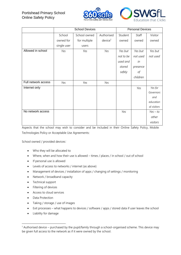



|                     |             | <b>School Devices</b> |                     |           | <b>Personal Devices</b><br>Staff<br>owned<br>owned<br>Yes but<br>not used<br>in<br>stored<br>presence<br>safely<br>оf<br>children<br>Yes |             |  |
|---------------------|-------------|-----------------------|---------------------|-----------|------------------------------------------------------------------------------------------------------------------------------------------|-------------|--|
|                     | School      | School owned          | Authorised          | Student   |                                                                                                                                          | Visitor     |  |
|                     | owned for   | for multiple          | device <sup>1</sup> |           |                                                                                                                                          | owned       |  |
|                     | single user | users                 |                     |           |                                                                                                                                          |             |  |
| Allowed in school   | Yes         | Yes                   | Yes                 | Yes but   |                                                                                                                                          | Yes but     |  |
|                     |             |                       |                     | not to be |                                                                                                                                          | not used    |  |
|                     |             |                       |                     | used and  |                                                                                                                                          |             |  |
|                     |             |                       |                     |           |                                                                                                                                          |             |  |
|                     |             |                       |                     |           |                                                                                                                                          |             |  |
|                     |             |                       |                     |           |                                                                                                                                          |             |  |
| Full network access | Yes         | Yes                   | Yes                 |           |                                                                                                                                          |             |  |
| Internet only       |             |                       |                     |           |                                                                                                                                          | Yes for     |  |
|                     |             |                       |                     |           |                                                                                                                                          | Governors   |  |
|                     |             |                       |                     |           |                                                                                                                                          | and         |  |
|                     |             |                       |                     |           |                                                                                                                                          | education   |  |
|                     |             |                       |                     |           |                                                                                                                                          | al visitors |  |
| No network access   |             |                       |                     | Yes       |                                                                                                                                          | $Yes - to$  |  |
|                     |             |                       |                     |           |                                                                                                                                          | other       |  |
|                     |             |                       |                     |           |                                                                                                                                          | visitors    |  |

Aspects that the school may wish to consider and be included in their Online Safety Policy, Mobile Technologies Policy or Acceptable Use Agreements:

School owned / provided devices:

- Who they will be allocated to
- Where, when and how their use is allowed times / places / in school / out of school
- If personal use is allowed
- Levels of access to networks / internet (as above)
- Management of devices / installation of apps / changing of settings / monitoring
- Network / broadband capacity
- Technical support
- Filtering of devices
- Access to cloud services
- Data Protection
- Taking / storage / use of images
- Exit processes what happens to devices / software / apps / stored data if user leaves the school
- Liability for damage

-

 $1$  Authorised device – purchased by the pupil/family through a school-organised scheme. This device may be given full access to the network as if it were owned by the school.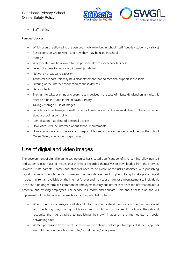

Staff training

Personal devices:

- Which users are allowed to use personal mobile devices in school (staff / pupils / students / visitors)
- Restrictions on where, when and how they may be used in school
- Storage
- Whether staff will be allowed to use personal devices for school business
- Levels of access to networks / internet (as above)
- Network / broadband capacity
- Technical support (this may be a clear statement that no technical support is available)
- Filtering of the internet connection to these devices
- Data Protection
- The right to take, examine and search users devices in the case of misuse (England only) n.b. this must also be included in the Behaviour Policy.
- Taking / storage / use of images
- Liability for loss/damage or malfunction following access to the network (likely to be a disclaimer about school responsibility).
- Identification / labelling of personal devices
- How visitors will be informed about school requirements
- How education about the safe and responsible use of mobile devices is included in the school Online Safety education programmes.

### Use of digital and video images

The development of digital imaging technologies has created significant benefits to learning, allowing staff and students instant use of images that they have recorded themselves or downloaded from the internet. However, staff, parents / carers and students need to be aware of the risks associated with publishing digital images on the internet. Such images may provide avenues for cyberbullying to take place. Digital images may remain available on the internet forever and may cause harm or embarrassment to individuals in the short or longer term. It is common for employers to carry out internet searches for information about potential and existing employees. The school will inform and educate users about these risks and will implement policies to reduce the likelihood of the potential for harm:

- When using digital images, staff should inform and educate students about the risks associated with the taking, use, sharing, publication and distribution of images. In particular they should recognise the risks attached to publishing their own images on the internet e.g. on social networking sites.
- Written permission from parents or carers will be obtained before photographs of students / pupils are published on the school website / social media / local press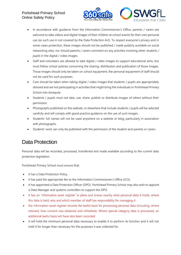

- In accordance with quidance from the Information Commissioner's Office, parents / carers are welcome to take videos and digital images of their children at school events for their own personal use (as such use in not covered by the Data Protection Act). To respect everyone's privacy and in some cases protection, these images should not be published / made publicly available on social networking sites, nor should parents / carers comment on any activities involving other *students / pupils* in the digital / video images.
- Staff and volunteers are allowed to take digital / video images to support educational aims, but must follow school policies concerning the sharing, distribution and publication of those images. Those images should only be taken on school equipment, the personal equipment of staff should not be used for such purposes.
- Care should be taken when taking digital / video images that students / pupils are appropriately dressed and are not participating in activities that might bring the individuals or Portishead Primary School into disrepute.
- Students / pupils must not take, use, share, publish or distribute images of others without their permission
- Photographs published on the website, or elsewhere that include students / pupils will be selected carefully and will comply with good practice guidance on the use of such images.
- Students' full names will not be used anywhere on a website or blog, particularly in association with photographs.
- Students' work can only be published with the permission of the student and parents or carers.

### Data Protection

Personal data will be recorded, processed, transferred and made available according to the current data protection legislation.

Portishead Primary School must ensure that:

- It has a Data Protection Policy.
- It has paid the appropriate fee to the Information Commissioner's Office (ICO).
- It has appointed a Data Protection Officer (DPO). Portishead Primary School may also wish to appoint a Data Manager and systems controllers to support the DPO.
- It has an 'information asset register' in place and knows exactly what personal data it holds, where this data is held, why and which member of staff has responsibility for managing it
- the information asset register records the lawful basis for processing personal data (including, where relevant, how consent was obtained and refreshed). Where special category data is processed, an additional lawful basis will have also been recorded
- It will hold the minimum personal data necessary to enable it to perform its function and it will not hold it for longer than necessary for the purposes it was collected for.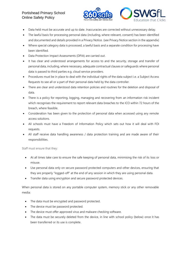

- Data held must be accurate and up to date. Inaccuracies are corrected without unnecessary delay.
- The lawful basis for processing personal data (including, where relevant, consent) has been identified and documented and details provided in a Privacy Notice. (see Privacy Notice section in the appendix)
- Where special category data is processed, a lawful basis and a separate condition for processing have been identified.
- Data Protection Impact Assessments (DPIA) are carried out.
- It has clear and understood arrangements for access to and the security, storage and transfer of personal data, including, where necessary, adequate contractual clauses or safeguards where personal data is passed to third parties e.g. cloud service providers.
- Procedures must be in place to deal with the individual rights of the data subject i.e. a Subject Access Requests to see all or a part of their personal data held by the data controller.
- There are clear and understood data retention policies and routines for the deletion and disposal of data.
- There is a policy for reporting, logging, managing and recovering from an information risk incident which recognises the requirement to report relevant data breaches to the ICO within 72 hours of the breach, where feasible.
- Consideration has been given to the protection of personal data when accessed using any remote access solutions.
- All schools must have a Freedom of Information Policy which sets out how it will deal with FOI requests.
- All staff receive data handling awareness / data protection training and are made aware of their responsibilities.

Staff must ensure that they:

- At all times take care to ensure the safe keeping of personal data, minimising the risk of its loss or misuse.
- Use personal data only on secure password protected computers and other devices, ensuring that they are properly "logged-off" at the end of any session in which they are using personal data.
- Transfer data using encryption and secure password protected devices.

When personal data is stored on any portable computer system, memory stick or any other removable media:

- The data must be encrypted and password protected.
- The device must be password protected.
- The device must offer approved virus and malware checking software.
- The data must be securely deleted from the device, in line with school policy (below) once it has been transferred or its use is complete.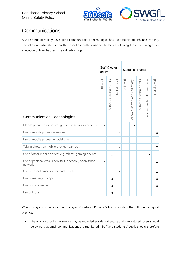

### **Communications**

A wide range of rapidly developing communications technologies has the potential to enhance learning. The following table shows how the school currently considers the benefit of using these technologies for education outweighs their risks / disadvantages:

|                                                                    | adults                    | Staff & other            |                |         | Students / Pupils               |                          |                               |              |  |
|--------------------------------------------------------------------|---------------------------|--------------------------|----------------|---------|---------------------------------|--------------------------|-------------------------------|--------------|--|
| <b>Communication Technologies</b>                                  | Allowed                   | Allowed at certain times | Not allowed    | Allowed | Allowed at start and end of day | Allowed at certain times | Allowed with staff permission | Not allowed  |  |
| Mobile phones may be brought to the school / academy               | $\boldsymbol{\mathsf{x}}$ |                          |                |         | X                               |                          |                               |              |  |
| Use of mobile phones in lessons                                    |                           |                          | X              |         |                                 |                          |                               | X            |  |
| Use of mobile phones in social time                                | X                         |                          |                |         |                                 |                          |                               |              |  |
| Taking photos on mobile phones / cameras                           |                           |                          | $\pmb{\times}$ |         |                                 |                          |                               | $\mathsf{x}$ |  |
| Use of other mobile devices e.g. tablets, gaming devices           |                           | X                        |                |         |                                 |                          | X                             |              |  |
| Use of personal email addresses in school, or on school<br>network | $\boldsymbol{\mathsf{x}}$ |                          |                |         |                                 |                          |                               | $\mathsf{x}$ |  |
| Use of school email for personal emails                            |                           |                          | $\mathsf{x}$   |         |                                 |                          |                               | X            |  |
| Use of messaging apps                                              |                           | X                        |                |         |                                 |                          |                               | X            |  |
| Use of social media                                                |                           | X                        |                |         |                                 |                          |                               | X            |  |
| Use of blogs                                                       |                           | X                        |                |         |                                 |                          | X                             |              |  |

When using communication technologies Portishead Primary School considers the following as good practice:

• The official school email service may be regarded as safe and secure and is monitored. Users should be aware that email communications are monitored. Staff and students / pupils should therefore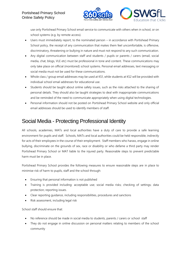

use only Portishead Primary School email service to communicate with others when in school, or on school systems (e.g. by remote access).

- Users must immediately report, to the nominated person in accordance with Portishead Primary School policy, the receipt of any communication that makes them feel uncomfortable, is offensive, discriminatory, threatening or bullying in nature and must not respond to any such communication.
- Any digital communication between staff and students / pupils or parents / carers (email, social media, chat, blogs, VLE etc) must be professional in tone and content. These communications may only take place on official (monitored) school systems. Personal email addresses, text messaging or social media must not be used for these communications.
- Whole class / group email addresses may be used at KS1, while students at KS2 will be provided with individual school email addresses for educational use.
- Students should be taught about online safety issues, such as the risks attached to the sharing of personal details. They should also be taught strategies to deal with inappropriate communications and be reminded of the need to communicate appropriately when using digital technologies.
- Personal information should not be posted on Portishead Primary School website and only official email addresses should be used to identify members of staff.

### Social Media - Protecting Professional Identity

All schools, academies, MATs and local authorities have a duty of care to provide a safe learning environment for pupils and staff. Schools, MATs and local authorities could be held responsible, indirectly for acts of their employees in the course of their employment. Staff members who harass, engage in online bullying, discriminate on the grounds of sex, race or disability or who defame a third party may render Portishead Primary School or MAT liable to the injured party. Reasonable steps to prevent predictable harm must be in place.

Portishead Primary School provides the following measures to ensure reasonable steps are in place to minimise risk of harm to pupils, staff and the school through:

- Ensuring that personal information is not published
- Training is provided including: acceptable use; social media risks; checking of settings; data protection; reporting issues.
- Clear reporting guidance, including responsibilities, procedures and sanctions
- Risk assessment, including legal risk

School staff should ensure that:

- No reference should be made in social media to students, parents / carers or school staff
- They do not engage in online discussion on personal matters relating to members of the school community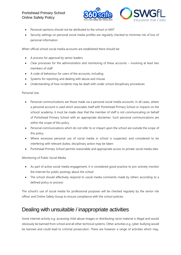

- Personal opinions should not be attributed to the school or MAT
- Security settings on personal social media profiles are regularly checked to minimise risk of loss of personal information

When official school social media accounts are established there should be:

- A process for approval by senior leaders
- Clear processes for the administration and monitoring of these accounts involving at least two members of staff
- A code of behaviour for users of the accounts, including
- Systems for reporting and dealing with abuse and misuse
- Understanding of how incidents may be dealt with under school disciplinary procedures

Personal Use:

- Personal communications are those made via a personal social media accounts. In all cases, where a personal account is used which associates itself with Portishead Primary School or impacts on the school/ academy, it must be made clear that the member of staff is not communicating on behalf of Portishead Primary School with an appropriate disclaimer. Such personal communications are within the scope of this policy
- Personal communications which do not refer to or impact upon the school are outside the scope of this policy
- Where excessive personal use of social media in school is suspected, and considered to be interfering with relevant duties, disciplinary action may be taken
- Portishead Primary School permits reasonable and appropriate access to private social media sites

Monitoring of Public Social Media

- As part of active social media engagement, it is considered good practice to pro-actively monitor the Internet for public postings about the school
- The school should effectively respond to social media comments made by others according to a defined policy or process

The school's use of social media for professional purposes will be checked regularly by the senior risk officer and Online Safety Group to ensure compliance with the school policies.

### Dealing with unsuitable / inappropriate activities

Some internet activity e.g. accessing child abuse images or distributing racist material is illegal and would obviously be banned from school and all other technical systems. Other activities e.g. cyber-bullying would be banned and could lead to criminal prosecution. There are however a range of activities which may,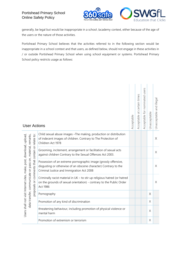

generally, be legal but would be inappropriate in a school /academy context, either because of the age of the users or the nature of those activities.

Portishead Primary School believes that the activities referred to in the following section would be inappropriate in a school context and that users, as defined below, should not engage in these activities in / or outside Portishead Primary School when using school equipment or systems. Portishead Primary School policy restricts usage as follows:

| <b>User Actions</b>                                                                                                                                                     |                                                                                                                                                                                  | Acceptable | Acceptable at certain times | Acceptable for nominated users | Unacceptable | Unacceptable and illega |
|-------------------------------------------------------------------------------------------------------------------------------------------------------------------------|----------------------------------------------------------------------------------------------------------------------------------------------------------------------------------|------------|-----------------------------|--------------------------------|--------------|-------------------------|
|                                                                                                                                                                         | Child sexual abuse images - The making, production or distribution<br>of indecent images of children. Contrary to The Protection of<br>Children Act 1978                         |            |                             |                                |              | $\times$                |
| comments that contain or relate to:<br>Users shall not visit Internet sites, make, post, download, upload,<br>data transfer, communicate or pass on, material, remarks, | Grooming, incitement, arrangement or facilitation of sexual acts<br>against children Contrary to the Sexual Offences Act 2003.                                                   |            |                             |                                |              | X                       |
|                                                                                                                                                                         | Possession of an extreme pornographic image (grossly offensive,<br>disgusting or otherwise of an obscene character) Contrary to the<br>Criminal Justice and Immigration Act 2008 |            |                             |                                |              | X                       |
| proposals or                                                                                                                                                            | Criminally racist material in UK - to stir up religious hatred (or hatred<br>on the grounds of sexual orientation) - contrary to the Public Order<br>Act 1986                    |            |                             |                                |              | X                       |
|                                                                                                                                                                         | Pornography                                                                                                                                                                      |            |                             |                                | X            |                         |
|                                                                                                                                                                         | Promotion of any kind of discrimination                                                                                                                                          |            |                             |                                | X            |                         |
|                                                                                                                                                                         | threatening behaviour, including promotion of physical violence or<br>mental harm                                                                                                |            |                             |                                | X            |                         |
|                                                                                                                                                                         | Promotion of extremism or terrorism                                                                                                                                              |            |                             |                                | X            |                         |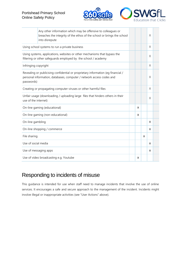

|                                                                                                                                                                        | Any other information which may be offensive to colleagues or<br>breaches the integrity of the ethos of the school or brings the school<br>into disrepute |  |   |   | X |  |
|------------------------------------------------------------------------------------------------------------------------------------------------------------------------|-----------------------------------------------------------------------------------------------------------------------------------------------------------|--|---|---|---|--|
| Using school systems to run a private business                                                                                                                         |                                                                                                                                                           |  |   |   | X |  |
| Using systems, applications, websites or other mechanisms that bypass the<br>filtering or other safeguards employed by the school / academy                            |                                                                                                                                                           |  |   |   | X |  |
| Infringing copyright                                                                                                                                                   |                                                                                                                                                           |  |   |   | X |  |
| Revealing or publicising confidential or proprietary information (eg financial /<br>personal information, databases, computer / network access codes and<br>passwords) |                                                                                                                                                           |  |   |   | X |  |
|                                                                                                                                                                        | Creating or propagating computer viruses or other harmful files                                                                                           |  |   |   | X |  |
| use of the internet)                                                                                                                                                   | Unfair usage (downloading / uploading large files that hinders others in their                                                                            |  |   |   | X |  |
|                                                                                                                                                                        | On-line gaming (educational)                                                                                                                              |  | X |   |   |  |
|                                                                                                                                                                        | On-line gaming (non-educational)                                                                                                                          |  | X |   |   |  |
| On-line gambling                                                                                                                                                       |                                                                                                                                                           |  |   |   | x |  |
|                                                                                                                                                                        | On-line shopping / commerce                                                                                                                               |  |   |   | X |  |
| File sharing                                                                                                                                                           |                                                                                                                                                           |  |   | X |   |  |
| Use of social media                                                                                                                                                    |                                                                                                                                                           |  |   |   | x |  |
|                                                                                                                                                                        | Use of messaging apps                                                                                                                                     |  |   |   | X |  |
|                                                                                                                                                                        | Use of video broadcasting e.g. Youtube                                                                                                                    |  | X |   |   |  |

### Responding to incidents of misuse

This guidance is intended for use when staff need to manage incidents that involve the use of online services. It encourages a safe and secure approach to the management of the incident. Incidents might involve illegal or inappropriate activities (see "User Actions" above).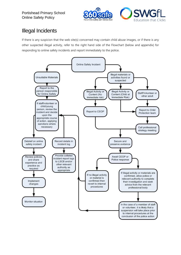

# Illegal Incidents

If there is any suspicion that the web site(s) concerned may contain child abuse images, or if there is any other suspected illegal activity, refer to the right hand side of the Flowchart (below and appendix) for responding to online safety incidents and report immediately to the police.

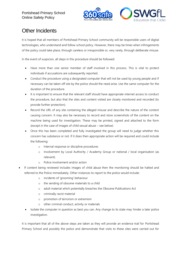

# Other Incidents

It is hoped that all members of Portishead Primary School community will be responsible users of digital technologies, who understand and follow school policy. However, there may be times when infringements of the policy could take place, through careless or irresponsible or, very rarely, through deliberate misuse.

In the event of suspicion, all steps in this procedure should be followed:

- Have more than one senior member of staff involved in this process. This is vital to protect individuals if accusations are subsequently reported.
- Conduct the procedure using a designated computer that will not be used by young people and if necessary can be taken off site by the police should the need arise. Use the same computer for the duration of the procedure.
- It is important to ensure that the relevant staff should have appropriate internet access to conduct the procedure, but also that the sites and content visited are closely monitored and recorded (to provide further protection).
- Record the URL of any site containing the alleged misuse and describe the nature of the content causing concern. It may also be necessary to record and store screenshots of the content on the machine being used for investigation. These may be printed, signed and attached to the form (except in the case of images of child sexual abuse – see below)
- Once this has been completed and fully investigated the group will need to judge whether this concern has substance or not. If it does then appropriate action will be required and could include the following:
	- o Internal response or discipline procedures
	- o Involvement by Local Authority / Academy Group or national / local organisation (as relevant).
	- o Police involvement and/or action
- If content being reviewed includes images of child abuse then the monitoring should be halted and referred to the Police immediately. Other instances to report to the police would include:
	- o incidents of 'grooming' behaviour
	- o the sending of obscene materials to a child
	- o adult material which potentially breaches the Obscene Publications Act
	- o criminally racist material
	- o promotion of terrorism or extremism
	- o other criminal conduct, activity or materials
	- Isolate the computer in question as best you can. Any change to its state may hinder a later police investigation.

It is important that all of the above steps are taken as they will provide an evidence trail for Portishead Primary School and possibly the police and demonstrate that visits to these sites were carried out for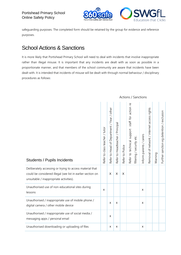

Actions / Sanctions

safeguarding purposes. The completed form should be retained by the group for evidence and reference purposes.

### School Actions & Sanctions

It is more likely that Portishead Primary School will need to deal with incidents that involve inappropriate rather than illegal misuse. It is important that any incidents are dealt with as soon as possible in a proportionate manner, and that members of the school community are aware that incidents have been dealt with. It is intended that incidents of misuse will be dealt with through normal behaviour / disciplinary procedures as follows:

| <b>Students / Pupils Incidents</b>                                                                                                                                 | Refer to class teacher / tutor | Refer to Head of Department / Year / other | Refer to Headteacher / Principal | Refer to Police | staff for action re<br>Refer to technical support | filtering / security etc. | Inform parents / carers | Removal of network / internet access rights | Warning | Further sanction eg detention / exclusion |
|--------------------------------------------------------------------------------------------------------------------------------------------------------------------|--------------------------------|--------------------------------------------|----------------------------------|-----------------|---------------------------------------------------|---------------------------|-------------------------|---------------------------------------------|---------|-------------------------------------------|
| Deliberately accessing or trying to access material that<br>could be considered illegal (see list in earlier section on<br>unsuitable / inappropriate activities). |                                | X                                          | X                                | X               |                                                   |                           |                         |                                             |         |                                           |
| Unauthorised use of non-educational sites during<br>lessons                                                                                                        | X                              |                                            |                                  |                 |                                                   |                           | X                       |                                             |         |                                           |
| Unauthorised / inappropriate use of mobile phone /<br>digital camera / other mobile device                                                                         |                                | X                                          | X                                |                 |                                                   |                           | X                       |                                             |         |                                           |
| Unauthorised / inappropriate use of social media /<br>messaging apps / personal email                                                                              |                                | $\pmb{\times}$                             |                                  |                 |                                                   |                           |                         |                                             |         |                                           |
| Unauthorised downloading or uploading of files                                                                                                                     |                                | $\pmb{\mathsf{x}}$                         | X                                |                 |                                                   |                           | X                       |                                             |         |                                           |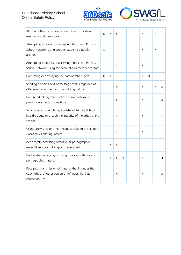



| Allowing others to access school network by sharing<br>username and passwords                                                 | X | x | X |   |   | x |   | x |   |
|-------------------------------------------------------------------------------------------------------------------------------|---|---|---|---|---|---|---|---|---|
| Attempting to access or accessing Portishead Primary<br>School network, using another student's / pupil's<br>account          | X |   |   |   |   | x |   | x |   |
| Attempting to access or accessing Portishead Primary<br>School network, using the account of a member of staff                |   |   | X |   | x | X |   |   | x |
| Corrupting or destroying the data of other users                                                                              | X | X |   |   |   | X | X |   |   |
| Sending an email, text or message that is regarded as<br>offensive, harassment or of a bullying nature                        |   |   | X |   |   | x |   | x | X |
| Continued infringements of the above, following<br>previous warnings or sanctions                                             |   |   | X |   |   | X |   |   | X |
| Actions which could bring Portishead Primary School<br>into disrepute or breach the integrity of the ethos of the<br>school   |   |   | X |   |   | X |   |   | X |
| Using proxy sites or other means to subvert the school's<br>/ academy's filtering system                                      |   |   | X |   |   | X |   |   | X |
| Accidentally accessing offensive or pornographic<br>material and failing to report the incident                               |   | x | X |   |   |   |   |   |   |
| Deliberately accessing or trying to access offensive or<br>pornographic material                                              |   | X | X | X |   | X |   |   | x |
| Receipt or transmission of material that infringes the<br>copyright of another person or infringes the Data<br>Protection Act |   |   | X |   |   | X |   |   | x |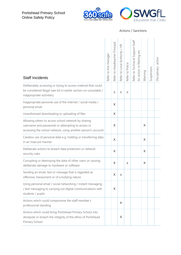

### Actions / Sanctions

| <b>Staff Incidents</b>                                                                                                                                                   | Refer to line manager | Refer to Headteacher Principal | / HR<br>Refer to Local Authority | Refer to Police | Refer to Technical Support Staff<br>etc.<br>for action re filtering | Warning | Suspension | Disciplinary action |
|--------------------------------------------------------------------------------------------------------------------------------------------------------------------------|-----------------------|--------------------------------|----------------------------------|-----------------|---------------------------------------------------------------------|---------|------------|---------------------|
| Deliberately accessing or trying to access material that could<br>be considered illegal (see list in earlier section on unsuitable /<br>inappropriate activities).       |                       | X                              | X                                | X               |                                                                     |         |            |                     |
| Inappropriate personal use of the internet / social media /<br>personal email                                                                                            |                       | X                              |                                  |                 |                                                                     |         |            |                     |
| Unauthorised downloading or uploading of files                                                                                                                           |                       | Χ                              |                                  |                 |                                                                     |         |            |                     |
| Allowing others to access school network by sharing<br>username and passwords or attempting to access or<br>accessing the school network, using another person's account |                       | X                              |                                  |                 |                                                                     | X       |            |                     |
| Careless use of personal data e.g. holding or transferring data<br>in an insecure manner                                                                                 |                       | X                              |                                  |                 |                                                                     | X       |            |                     |
| Deliberate actions to breach data protection or network<br>security rules                                                                                                |                       | X                              |                                  |                 |                                                                     | X       |            |                     |
| Corrupting or destroying the data of other users or causing<br>deliberate damage to hardware or software                                                                 |                       | X                              |                                  | x               |                                                                     | X       |            |                     |
| Sending an email, text or message that is regarded as<br>offensive, harassment or of a bullying nature                                                                   |                       | Х                              | x                                |                 |                                                                     |         |            |                     |
| Using personal email / social networking / instant messaging<br>/ text messaging to carrying out digital communications with<br>students / pupils                        |                       | X                              |                                  |                 |                                                                     |         |            |                     |
| Actions which could compromise the staff member's<br>professional standing                                                                                               |                       |                                | X                                |                 |                                                                     |         |            |                     |
| Actions which could bring Portishead Primary School into<br>disrepute or breach the integrity of the ethos of Portishead<br>Primary School                               |                       |                                | X                                |                 |                                                                     |         |            |                     |